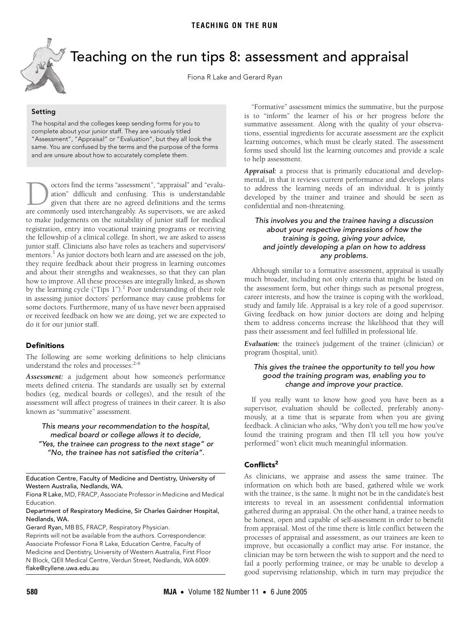<span id="page-0-0"></span>

# Teaching on the run tips 8: assessment and appraisal

Fiona R Lake and Gerard Ryan

**Setting** The hospital and the colleges keep sending forms for you to complete about your junior staff. They are variously titled "Assessment", "Appraisal" or "Evaluation", but they all look the same. You are confused by the terms and the purpose of the forms and are unsure about how to accurately complete them.

mentors.<sup>1</sup> As junior doctors both l[earn](#page-1-0) and are assessed on the job, menters. The junter declere seem team and are assessed on the jest, they require feedback about their progress in learning outcomes  $C^{\text{th}}$   $C^{\text{th}}$   $C^{\text{th}}$  and  $C^{\text{th}}$  and  $C^{\text{th}}$  and  $C^{\text{th}}$ and about their strengths and weaknesses, so that they can plan how to improve. All these processes are integrally linked, as shown octors find the terms "assessment", "appraisal" and "evaluation" difficult and confusing. This is understandable given that there are no agreed definitions and the terms are commonly used interchangeably. As supervisors, we are asked ation" difficult and confusing. This is understandable given that there are no agreed definitions and the terms are commonly used interchangeably. As supervis to make judgements on the suitability of junior staff for medical registration, entry into vocational training programs or receiving the fellowship of a clinical college. In short, we are asked to assess junior staff. Clinicians also have roles as teachers and supervisors/ by the learning cycle ("Tips [1](#page-1-1)").<sup>1</sup> Poor understanding of their role in assessing junior doctors' performance may cause problems for some doctors. Furthermore, many of us have never been appraised or received feedback on how we are doing, yet we are expected to do it for our junior staff.

# **Definitions**

The following are some working definitions to help clinicians understand the roles and processes:<sup>2-[6](#page-1-0)</sup>

*Assessment:* a judgement about how someone's performance meets defined criteria. The standards are usually set by external bodies (eg, medical boards or colleges), and the result of the assessment will affect progress of trainees in their career. It is also known as "summative" assessment.

This means your recommendation to the hospital, medical board or college allows it to decide, "Yes, the trainee can progress to the next stage" or "No, the trainee has not satisfied the criteria".

Education Centre, Faculty of Medicine and Dentistry, University of Western Australia, Nedlands, WA.

Fiona R Lake, MD, FRACP, Associate Professor in Medicine and Medical Education.

Department of Respiratory Medicine, Sir Charles Gairdner Hospital, Nedlands, WA.

Gerard Ryan, MB BS, FRACP, Respiratory Physician.

Reprints will not be available from the authors. Correspondence: Associate Professor Fiona R Lake, Education Centre, Faculty of Medicine and Dentistry, University of Western Australia, First Floor N Block, QEII Medical Centre, Verdun Street, Nedlands, WA 6009. flake@cyllene.uwa.edu.au

"Formative" assessment mimics the summative, but the purpose is to "inform" the learner of his or her progress before the summative assessment. Along with the quality of your observations, essential ingredients for accurate assessment are the explicit learning outcomes, which must be clearly stated. The assessment forms used should list the learning outcomes and provide a scale to help assessment.

*Appraisal:* a process that is primarily educational and developmental, in that it reviews current performance and develops plans to address the learning needs of an individual. It is jointly developed by the trainer and trainee and should be seen as confidential and non-threatening.

# This involves you and the trainee having a discussion about your respective impressions of how the training is going, giving your advice, and jointly developing a plan on how to address any problems.

Although similar to a formative assessment, appraisal is usually much broader, including not only criteria that might be listed on the assessment form, but other things such as personal progress, career interests, and how the trainee is coping with the workload, study and family life. Appraisal is a key role of a good supervisor*.* Giving feedback on how junior doctors are doing and helping them to address concerns increase the likelihood that they will pass their assessment and feel fulfilled in professional life.

*Evaluation:* the trainee's judgement of the trainer (clinician) or program (hospital, unit).

# This gives the trainee the opportunity to tell you how good the training program was, enabling you to change and improve your practice.

If you really want to know how good you have been as a supervisor, evaluation should be collected, preferably anonymously, at a time that is separate from when you are giving feedback. A clinician who asks, "Why don't you tell me how you've found the training program and then I'll tell you how you've performed" won't elicit much meaningful information.

# **Conflict[s2](#page-1-2)**

As clinicians, we appraise and assess the same trainee. The information on which both are based, gathered while we work with the trainee, is the same. It might not be in the candidate's best interests to reveal in an assessment confidential information gathered during an appraisal. On the other hand, a trainee needs to be honest, open and capable of self-assessment in order to benefit from appraisal. Most of the time there is little conflict between the processes of appraisal and assessment, as our trainees are keen to improve, but occasionally a conflict may arise. For instance, the clinician may be torn between the wish to support and the need to fail a poorly performing trainee, or may be unable to develop a good supervising relationship, which in turn may prejudice the